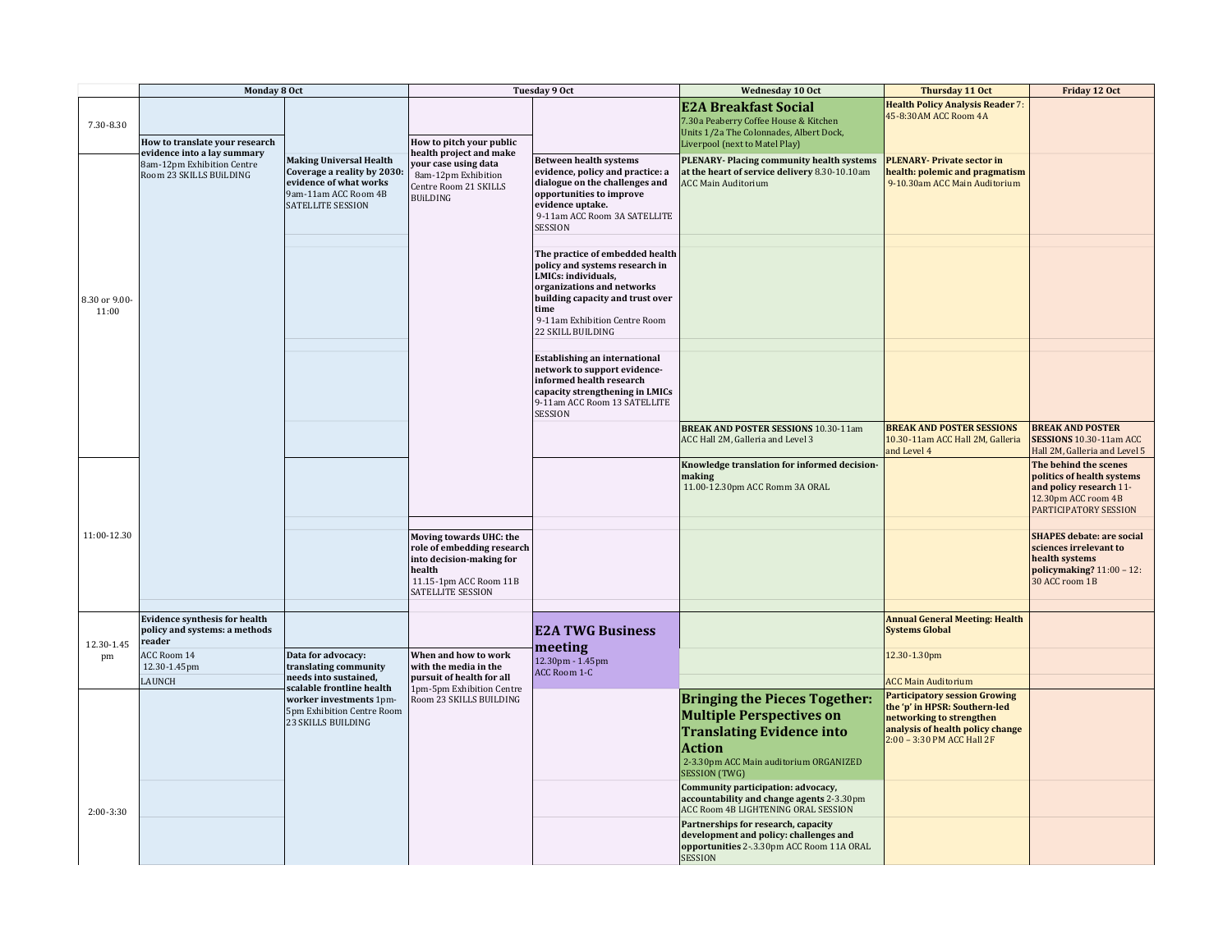|                        | Monday 8 Oct                                                                         |                                                                                                                                             | Tuesday 9 Oct                                                                                                                              |                                                                                                                                                                                                                          | Wednesday 10 Oct                                                                                                                                                                               | Thursday 11 Oct                                                                                                                                                     | Friday 12 Oct                                                                                                                  |
|------------------------|--------------------------------------------------------------------------------------|---------------------------------------------------------------------------------------------------------------------------------------------|--------------------------------------------------------------------------------------------------------------------------------------------|--------------------------------------------------------------------------------------------------------------------------------------------------------------------------------------------------------------------------|------------------------------------------------------------------------------------------------------------------------------------------------------------------------------------------------|---------------------------------------------------------------------------------------------------------------------------------------------------------------------|--------------------------------------------------------------------------------------------------------------------------------|
| 7.30-8.30              | How to translate your research                                                       |                                                                                                                                             | How to pitch your public                                                                                                                   |                                                                                                                                                                                                                          | <b>E2A Breakfast Social</b><br>7.30a Peaberry Coffee House & Kitchen<br>Units 1/2a The Colonnades, Albert Dock,<br>Liverpool (next to Matel Play)                                              | <b>Health Policy Analysis Reader 7:</b><br>45-8:30AM ACC Room 4A                                                                                                    |                                                                                                                                |
|                        | evidence into a lay summary<br>8am-12pm Exhibition Centre<br>Room 23 SKILLS BUILDING | <b>Making Universal Health</b><br>Coverage a reality by 2030:<br>evidence of what works<br>9am-11am ACC Room 4B<br><b>SATELLITE SESSION</b> | health project and make<br>your case using data<br>8am-12pm Exhibition<br>Centre Room 21 SKILLS<br><b>BUILDING</b>                         | <b>Between health systems</b><br>evidence, policy and practice: a<br>dialogue on the challenges and<br>opportunities to improve<br>evidence uptake.<br>9-11am ACC Room 3A SATELLITE<br><b>SESSION</b>                    | <b>PLENARY-Placing community health systems</b><br>at the heart of service delivery 8.30-10.10am<br><b>ACC Main Auditorium</b>                                                                 | <b>PLENARY-Private sector in</b><br>health: polemic and pragmatism<br>9-10.30am ACC Main Auditorium                                                                 |                                                                                                                                |
| 8.30 or 9.00-<br>11:00 |                                                                                      |                                                                                                                                             |                                                                                                                                            | The practice of embedded health<br>policy and systems research in<br>LMICs: individuals,<br>organizations and networks<br>building capacity and trust over<br>time<br>9-11am Exhibition Centre Room<br>22 SKILL BUILDING |                                                                                                                                                                                                |                                                                                                                                                                     |                                                                                                                                |
|                        |                                                                                      |                                                                                                                                             |                                                                                                                                            | <b>Establishing an international</b><br>network to support evidence-<br>informed health research<br>capacity strengthening in LMICs<br>9-11am ACC Room 13 SATELLITE<br><b>SESSION</b>                                    |                                                                                                                                                                                                |                                                                                                                                                                     |                                                                                                                                |
|                        |                                                                                      |                                                                                                                                             |                                                                                                                                            |                                                                                                                                                                                                                          | <b>BREAK AND POSTER SESSIONS 10.30-11am</b><br>ACC Hall 2M, Galleria and Level 3                                                                                                               | <b>BREAK AND POSTER SESSIONS</b><br>10.30-11am ACC Hall 2M, Galleria<br>and Level 4                                                                                 | <b>BREAK AND POSTER</b><br>SESSIONS 10.30-11am ACC<br>Hall 2M, Galleria and Level 5                                            |
|                        |                                                                                      |                                                                                                                                             |                                                                                                                                            |                                                                                                                                                                                                                          | Knowledge translation for informed decision-<br>making<br>11.00-12.30pm ACC Romm 3A ORAL                                                                                                       |                                                                                                                                                                     | The behind the scenes<br>politics of health systems<br>and policy research 11-<br>12.30pm ACC room 4B<br>PARTICIPATORY SESSION |
| 11:00-12.30            |                                                                                      |                                                                                                                                             | Moving towards UHC: the<br>role of embedding research<br>into decision-making for<br>health<br>11.15-1pm ACC Room 11B<br>SATELLITE SESSION |                                                                                                                                                                                                                          |                                                                                                                                                                                                |                                                                                                                                                                     | <b>SHAPES</b> debate: are social<br>sciences irrelevant to<br>health systems<br>policymaking? $11:00 - 12$ :<br>30 ACC room 1B |
| 12.30-1.45<br>pm       | <b>Evidence synthesis for health</b><br>policy and systems: a methods                |                                                                                                                                             |                                                                                                                                            | <b>E2A TWG Business</b><br>meeting<br>12.30pm - 1.45pm<br>ACC Room 1-C                                                                                                                                                   |                                                                                                                                                                                                | <b>Annual General Meeting: Health</b><br><b>Systems Global</b>                                                                                                      |                                                                                                                                |
|                        | reader<br>ACC Room 14<br>12.30-1.45pm                                                | Data for advocacy:<br>translating community                                                                                                 | When and how to work<br>with the media in the                                                                                              |                                                                                                                                                                                                                          |                                                                                                                                                                                                | 12.30-1.30pm                                                                                                                                                        |                                                                                                                                |
|                        | LAUNCH                                                                               | needs into sustained,<br>scalable frontline health                                                                                          | pursuit of health for all<br>1pm-5pm Exhibition Centre                                                                                     |                                                                                                                                                                                                                          |                                                                                                                                                                                                | <b>ACC Main Auditorium</b>                                                                                                                                          |                                                                                                                                |
|                        |                                                                                      | worker investments 1pm-<br>5pm Exhibition Centre Room<br>23 SKILLS BUILDING                                                                 | Room 23 SKILLS BUILDING                                                                                                                    |                                                                                                                                                                                                                          | <b>Bringing the Pieces Together:</b><br><b>Multiple Perspectives on</b><br><b>Translating Evidence into</b><br><b>Action</b><br>2-3.30pm ACC Main auditorium ORGANIZED<br><b>SESSION (TWG)</b> | <b>Participatory session Growing</b><br>the 'p' in HPSR: Southern-led<br>networking to strengthen<br>analysis of health policy change<br>2:00 - 3:30 PM ACC Hall 2F |                                                                                                                                |
| $2:00-3:30$            |                                                                                      |                                                                                                                                             |                                                                                                                                            |                                                                                                                                                                                                                          | Community participation: advocacy,<br>accountability and change agents 2-3.30pm<br>ACC Room 4B LIGHTENING ORAL SESSION                                                                         |                                                                                                                                                                     |                                                                                                                                |
|                        |                                                                                      |                                                                                                                                             |                                                                                                                                            |                                                                                                                                                                                                                          | Partnerships for research, capacity<br>development and policy: challenges and<br>opportunities 2-.3.30pm ACC Room 11A ORAL<br><b>SESSION</b>                                                   |                                                                                                                                                                     |                                                                                                                                |